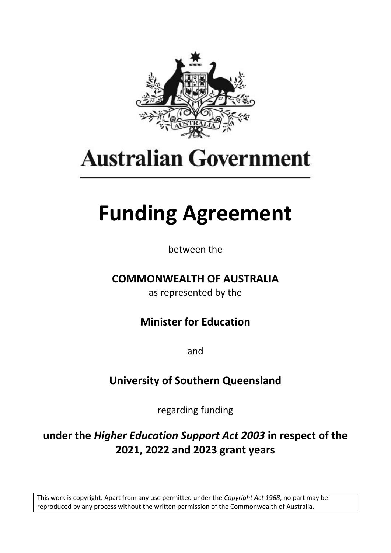

# **Australian Government**

# **Funding Agreement**

between the

# **COMMONWEALTH OF AUSTRALIA**

as represented by the

**Minister for Education** 

and

# **University of Southern Queensland**

regarding funding

**under the** *Higher Education Support Act 2003* **in respect of the 2021, 2022 and 2023 grant years**

This work is copyright. Apart from any use permitted under the *Copyright Act 1968*, no part may be reproduced by any process without the written permission of the Commonwealth of Australia.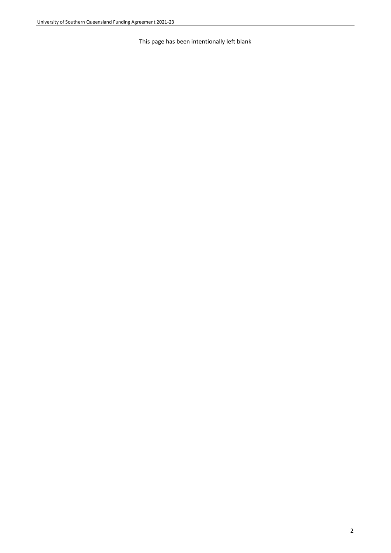This page has been intentionally left blank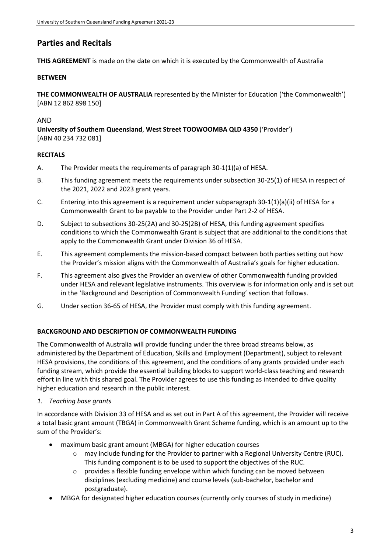# **Parties and Recitals**

**THIS AGREEMENT** is made on the date on which it is executed by the Commonwealth of Australia

# **BETWEEN**

**THE COMMONWEALTH OF AUSTRALIA** represented by the Minister for Education ('the Commonwealth') [ABN 12 862 898 150]

# AND

**University of Southern Queensland**, **West Street TOOWOOMBA QLD 4350** ('Provider') [ABN 40 234 732 081]

# **RECITALS**

- A. The Provider meets the requirements of paragraph 30-1(1)(a) of HESA.
- B. This funding agreement meets the requirements under subsection 30-25(1) of HESA in respect of the 2021, 2022 and 2023 grant years.
- C. Entering into this agreement is a requirement under subparagraph 30-1(1)(a)(ii) of HESA for a Commonwealth Grant to be payable to the Provider under Part 2-2 of HESA.
- D. Subject to subsections 30-25(2A) and 30-25(2B) of HESA, this funding agreement specifies conditions to which the Commonwealth Grant is subject that are additional to the conditions that apply to the Commonwealth Grant under Division 36 of HESA.
- E. This agreement complements the mission-based compact between both parties setting out how the Provider's mission aligns with the Commonwealth of Australia's goals for higher education.
- F. This agreement also gives the Provider an overview of other Commonwealth funding provided under HESA and relevant legislative instruments. This overview is for information only and is set out in the 'Background and Description of Commonwealth Funding' section that follows.
- G. Under section 36-65 of HESA, the Provider must comply with this funding agreement.

# **BACKGROUND AND DESCRIPTION OF COMMONWEALTH FUNDING**

The Commonwealth of Australia will provide funding under the three broad streams below, as administered by the Department of Education, Skills and Employment (Department), subject to relevant HESA provisions, the conditions of this agreement, and the conditions of any grants provided under each funding stream, which provide the essential building blocks to support world-class teaching and research effort in line with this shared goal. The Provider agrees to use this funding as intended to drive quality higher education and research in the public interest.

# *1. Teaching base grants*

In accordance with Division 33 of HESA and as set out in Part A of this agreement, the Provider will receive a total basic grant amount (TBGA) in Commonwealth Grant Scheme funding, which is an amount up to the sum of the Provider's:

- maximum basic grant amount (MBGA) for higher education courses
	- o may include funding for the Provider to partner with a Regional University Centre (RUC). This funding component is to be used to support the objectives of the RUC.
	- $\circ$  provides a flexible funding envelope within which funding can be moved between disciplines (excluding medicine) and course levels (sub-bachelor, bachelor and postgraduate).
- MBGA for designated higher education courses (currently only courses of study in medicine)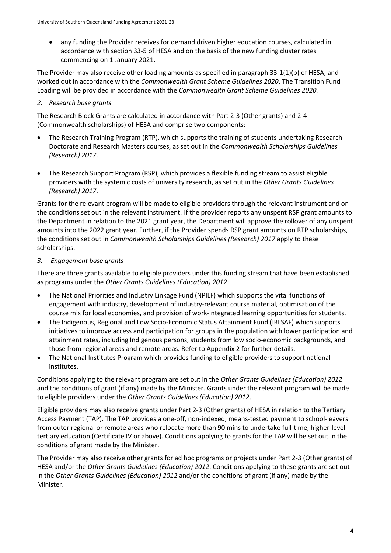• any funding the Provider receives for demand driven higher education courses, calculated in accordance with section 33-5 of HESA and on the basis of the new funding cluster rates commencing on 1 January 2021.

The Provider may also receive other loading amounts as specified in paragraph 33-1(1)(b) of HESA, and worked out in accordance with the *Commonwealth Grant Scheme Guidelines 2020*. The Transition Fund Loading will be provided in accordance with the *Commonwealth Grant Scheme Guidelines 2020.*

*2. Research base grants*

The Research Block Grants are calculated in accordance with Part 2-3 (Other grants) and 2-4 (Commonwealth scholarships) of HESA and comprise two components:

- The Research Training Program (RTP), which supports the training of students undertaking Research Doctorate and Research Masters courses, as set out in the *Commonwealth Scholarships Guidelines (Research) 2017*.
- The Research Support Program (RSP), which provides a flexible funding stream to assist eligible providers with the systemic costs of university research, as set out in the *Other Grants Guidelines (Research) 2017*.

Grants for the relevant program will be made to eligible providers through the relevant instrument and on the conditions set out in the relevant instrument. If the provider reports any unspent RSP grant amounts to the Department in relation to the 2021 grant year, the Department will approve the rollover of any unspent amounts into the 2022 grant year. Further, if the Provider spends RSP grant amounts on RTP scholarships, the conditions set out in *Commonwealth Scholarships Guidelines (Research) 2017* apply to these scholarships.

# *3. Engagement base grants*

There are three grants available to eligible providers under this funding stream that have been established as programs under the *Other Grants Guidelines (Education) 2012*:

- The National Priorities and Industry Linkage Fund (NPILF) which supports the vital functions of engagement with industry, development of industry-relevant course material, optimisation of the course mix for local economies, and provision of work-integrated learning opportunities for students.
- The Indigenous, Regional and Low Socio-Economic Status Attainment Fund (IRLSAF) which supports initiatives to improve access and participation for groups in the population with lower participation and attainment rates, including Indigenous persons, students from low socio-economic backgrounds, and those from regional areas and remote areas. Refer to Appendix 2 for further details.
- The National Institutes Program which provides funding to eligible providers to support national institutes.

Conditions applying to the relevant program are set out in the *Other Grants Guidelines (Education) 2012*  and the conditions of grant (if any) made by the Minister. Grants under the relevant program will be made to eligible providers under the *Other Grants Guidelines (Education) 2012*.

Eligible providers may also receive grants under Part 2-3 (Other grants) of HESA in relation to the Tertiary Access Payment (TAP). The TAP provides a one-off, non-indexed, means-tested payment to school-leavers from outer regional or remote areas who relocate more than 90 mins to undertake full-time, higher-level tertiary education (Certificate IV or above). Conditions applying to grants for the TAP will be set out in the conditions of grant made by the Minister.

The Provider may also receive other grants for ad hoc programs or projects under Part 2-3 (Other grants) of HESA and/or the *Other Grants Guidelines (Education) 2012*. Conditions applying to these grants are set out in the *Other Grants Guidelines (Education) 2012* and/or the conditions of grant (if any) made by the Minister.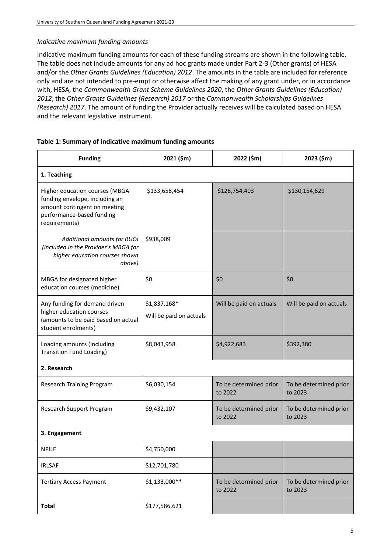#### *Indicative maximum funding amounts*

Indicative maximum funding amounts for each of these funding streams are shown in the following table. The table does not include amounts for any ad hoc grants made under Part 2-3 (Other grants) of HESA and/or the *Other Grants Guidelines (Education) 2012*. The amounts in the table are included for reference only and are not intended to pre-empt or otherwise affect the making of any grant under, or in accordance with, HESA, the *Commonwealth Grant Scheme Guidelines 2020*, the *Other Grants Guidelines (Education) 2012*, the *Other Grants Guidelines (Research) 2017* or the *Commonwealth Scholarships Guidelines (Research) 2017*. The amount of funding the Provider actually receives will be calculated based on HESA and the relevant legislative instrument.

#### **Table 1: Summary of indicative maximum funding amounts**

| <b>Funding</b>                                                                                                                                 | 2021 (\$m)                              | 2022 (\$m)                        | 2023 (\$m)                        |  |  |
|------------------------------------------------------------------------------------------------------------------------------------------------|-----------------------------------------|-----------------------------------|-----------------------------------|--|--|
| 1. Teaching                                                                                                                                    |                                         |                                   |                                   |  |  |
| Higher education courses (MBGA<br>funding envelope, including an<br>amount contingent on meeting<br>performance-based funding<br>requirements) | \$133,658,454                           | \$128,754,403                     | \$130,154,629                     |  |  |
| Additional amounts for RUCs<br>(included in the Provider's MBGA for<br>higher education courses shown<br>above)                                | \$938,009                               |                                   |                                   |  |  |
| MBGA for designated higher<br>education courses (medicine)                                                                                     | \$0                                     | \$0                               | \$0                               |  |  |
| Any funding for demand driven<br>higher education courses<br>(amounts to be paid based on actual<br>student enrolments)                        | \$1,837,168*<br>Will be paid on actuals | Will be paid on actuals           | Will be paid on actuals           |  |  |
| Loading amounts (including<br><b>Transition Fund Loading)</b>                                                                                  | \$8,043,958                             | \$4,922,683                       | \$392,380                         |  |  |
| 2. Research                                                                                                                                    |                                         |                                   |                                   |  |  |
| Research Training Program                                                                                                                      | \$6,030,154                             | To be determined prior<br>to 2022 | To be determined prior<br>to 2023 |  |  |
| Research Support Program                                                                                                                       | \$9,432,107                             | To be determined prior<br>to 2022 | To be determined prior<br>to 2023 |  |  |
| 3. Engagement                                                                                                                                  |                                         |                                   |                                   |  |  |
| <b>NPILF</b>                                                                                                                                   | \$4,750,000                             |                                   |                                   |  |  |
| <b>IRLSAF</b>                                                                                                                                  | \$12,701,780                            |                                   |                                   |  |  |
| <b>Tertiary Access Payment</b>                                                                                                                 | \$1,133,000**                           | To be determined prior<br>to 2022 | To be determined prior<br>to 2023 |  |  |
| <b>Total</b>                                                                                                                                   | \$177,586,621                           |                                   |                                   |  |  |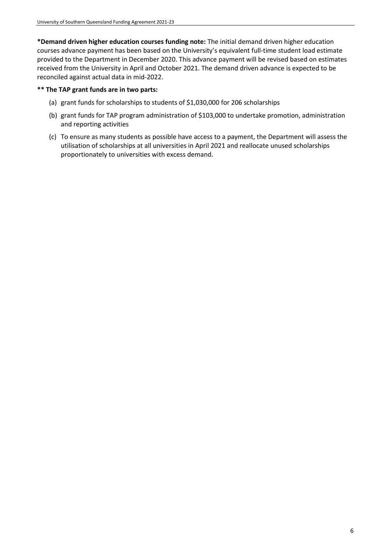**\*Demand driven higher education courses funding note:** The initial demand driven higher education courses advance payment has been based on the University's equivalent full-time student load estimate provided to the Department in December 2020. This advance payment will be revised based on estimates received from the University in April and October 2021. The demand driven advance is expected to be reconciled against actual data in mid-2022.

# **\*\* The TAP grant funds are in two parts:**

- (a) grant funds for scholarships to students of \$1,030,000 for 206 scholarships
- (b) grant funds for TAP program administration of \$103,000 to undertake promotion, administration and reporting activities
- (c) To ensure as many students as possible have access to a payment, the Department will assess the utilisation of scholarships at all universities in April 2021 and reallocate unused scholarships proportionately to universities with excess demand.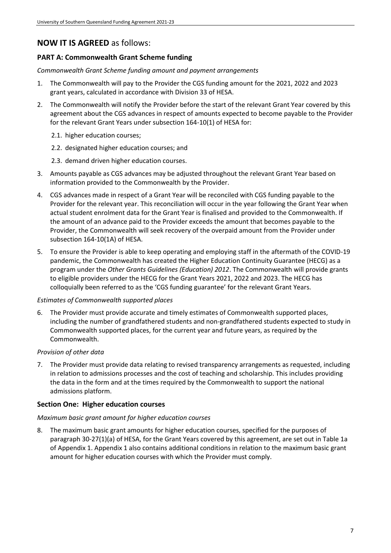# **NOW IT IS AGREED** as follows:

# **PART A: Commonwealth Grant Scheme funding**

*Commonwealth Grant Scheme funding amount and payment arrangements*

- 1. The Commonwealth will pay to the Provider the CGS funding amount for the 2021, 2022 and 2023 grant years, calculated in accordance with Division 33 of HESA.
- 2. The Commonwealth will notify the Provider before the start of the relevant Grant Year covered by this agreement about the CGS advances in respect of amounts expected to become payable to the Provider for the relevant Grant Years under subsection 164-10(1) of HESA for:
	- 2.1. higher education courses;
	- 2.2. designated higher education courses; and
	- 2.3. demand driven higher education courses.
- 3. Amounts payable as CGS advances may be adjusted throughout the relevant Grant Year based on information provided to the Commonwealth by the Provider.
- 4. CGS advances made in respect of a Grant Year will be reconciled with CGS funding payable to the Provider for the relevant year. This reconciliation will occur in the year following the Grant Year when actual student enrolment data for the Grant Year is finalised and provided to the Commonwealth. If the amount of an advance paid to the Provider exceeds the amount that becomes payable to the Provider, the Commonwealth will seek recovery of the overpaid amount from the Provider under subsection 164-10(1A) of HESA.
- 5. To ensure the Provider is able to keep operating and employing staff in the aftermath of the COVID-19 pandemic, the Commonwealth has created the Higher Education Continuity Guarantee (HECG) as a program under the *Other Grants Guidelines (Education) 2012*. The Commonwealth will provide grants to eligible providers under the HECG for the Grant Years 2021, 2022 and 2023. The HECG has colloquially been referred to as the 'CGS funding guarantee' for the relevant Grant Years.

# *Estimates of Commonwealth supported places*

6. The Provider must provide accurate and timely estimates of Commonwealth supported places, including the number of grandfathered students and non-grandfathered students expected to study in Commonwealth supported places, for the current year and future years, as required by the Commonwealth.

# *Provision of other data*

7. The Provider must provide data relating to revised transparency arrangements as requested, including in relation to admissions processes and the cost of teaching and scholarship. This includes providing the data in the form and at the times required by the Commonwealth to support the national admissions platform.

# **Section One: Higher education courses**

# *Maximum basic grant amount for higher education courses*

8. The maximum basic grant amounts for higher education courses, specified for the purposes of paragraph 30-27(1)(a) of HESA, for the Grant Years covered by this agreement, are set out in Table 1a of Appendix 1. Appendix 1 also contains additional conditions in relation to the maximum basic grant amount for higher education courses with which the Provider must comply.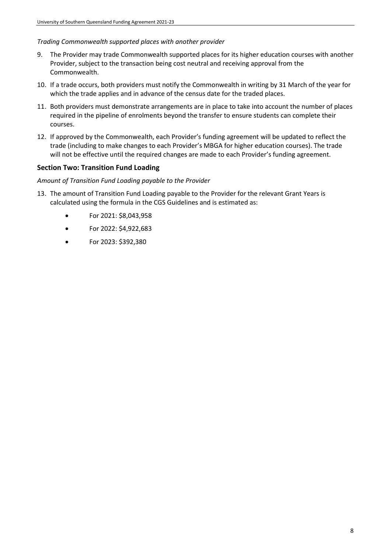#### *Trading Commonwealth supported places with another provider*

- 9. The Provider may trade Commonwealth supported places for its higher education courses with another Provider, subject to the transaction being cost neutral and receiving approval from the Commonwealth.
- 10. If a trade occurs, both providers must notify the Commonwealth in writing by 31 March of the year for which the trade applies and in advance of the census date for the traded places.
- 11. Both providers must demonstrate arrangements are in place to take into account the number of places required in the pipeline of enrolments beyond the transfer to ensure students can complete their courses.
- 12. If approved by the Commonwealth, each Provider's funding agreement will be updated to reflect the trade (including to make changes to each Provider's MBGA for higher education courses). The trade will not be effective until the required changes are made to each Provider's funding agreement.

# **Section Two: Transition Fund Loading**

#### *Amount of Transition Fund Loading payable to the Provider*

- 13. The amount of Transition Fund Loading payable to the Provider for the relevant Grant Years is calculated using the formula in the CGS Guidelines and is estimated as:
	- For 2021: \$8,043,958
	- For 2022: \$4,922,683
	- For 2023: \$392,380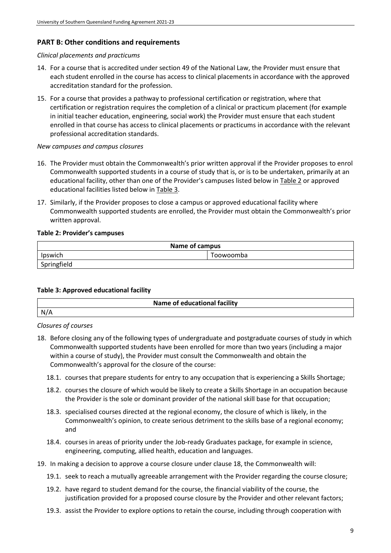#### **PART B: Other conditions and requirements**

#### *Clinical placements and practicums*

- 14. For a course that is accredited under section 49 of the National Law, the Provider must ensure that each student enrolled in the course has access to clinical placements in accordance with the approved accreditation standard for the profession.
- 15. For a course that provides a pathway to professional certification or registration, where that certification or registration requires the completion of a clinical or practicum placement (for example in initial teacher education, engineering, social work) the Provider must ensure that each student enrolled in that course has access to clinical placements or practicums in accordance with the relevant professional accreditation standards.

#### *New campuses and campus closures*

- 16. The Provider must obtain the Commonwealth's prior written approval if the Provider proposes to enrol Commonwealth supported students in a course of study that is, or is to be undertaken, primarily at an educational facility, other than one of the Provider's campuses listed below in Table 2 or approved educational facilities listed below in Table 3.
- 17. Similarly, if the Provider proposes to close a campus or approved educational facility where Commonwealth supported students are enrolled, the Provider must obtain the Commonwealth's prior written approval.

#### **Table 2: Provider's campuses**

| Name of campus |           |  |  |  |
|----------------|-----------|--|--|--|
| <b>Ipswich</b> | Toowoomba |  |  |  |
| Springfield    |           |  |  |  |

#### **Table 3: Approved educational facility**

| Name of educational facility |
|------------------------------|
| N/A                          |

#### *Closures of courses*

- 18. Before closing any of the following types of undergraduate and postgraduate courses of study in which Commonwealth supported students have been enrolled for more than two years (including a major within a course of study), the Provider must consult the Commonwealth and obtain the Commonwealth's approval for the closure of the course:
	- 18.1. courses that prepare students for entry to any occupation that is experiencing a Skills Shortage;
	- 18.2. courses the closure of which would be likely to create a Skills Shortage in an occupation because the Provider is the sole or dominant provider of the national skill base for that occupation;
	- 18.3. specialised courses directed at the regional economy, the closure of which is likely, in the Commonwealth's opinion, to create serious detriment to the skills base of a regional economy; and
	- 18.4. courses in areas of priority under the Job-ready Graduates package, for example in science, engineering, computing, allied health, education and languages.
- 19. In making a decision to approve a course closure under clause 18, the Commonwealth will:
	- 19.1. seek to reach a mutually agreeable arrangement with the Provider regarding the course closure;
	- 19.2. have regard to student demand for the course, the financial viability of the course, the justification provided for a proposed course closure by the Provider and other relevant factors;
	- 19.3. assist the Provider to explore options to retain the course, including through cooperation with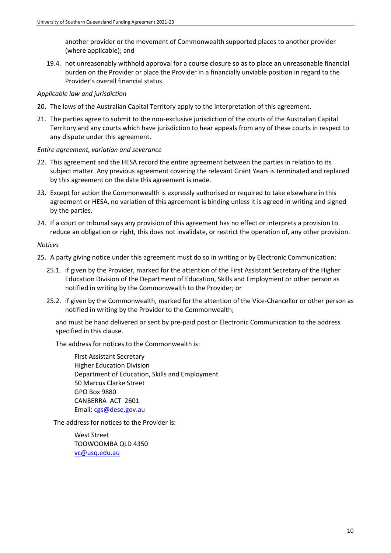another provider or the movement of Commonwealth supported places to another provider (where applicable); and

19.4. not unreasonably withhold approval for a course closure so as to place an unreasonable financial burden on the Provider or place the Provider in a financially unviable position in regard to the Provider's overall financial status.

#### *Applicable law and jurisdiction*

- 20. The laws of the Australian Capital Territory apply to the interpretation of this agreement.
- 21. The parties agree to submit to the non-exclusive jurisdiction of the courts of the Australian Capital Territory and any courts which have jurisdiction to hear appeals from any of these courts in respect to any dispute under this agreement.

#### *Entire agreement, variation and severance*

- 22. This agreement and the HESA record the entire agreement between the parties in relation to its subject matter. Any previous agreement covering the relevant Grant Years is terminated and replaced by this agreement on the date this agreement is made.
- 23. Except for action the Commonwealth is expressly authorised or required to take elsewhere in this agreement or HESA, no variation of this agreement is binding unless it is agreed in writing and signed by the parties.
- 24. If a court or tribunal says any provision of this agreement has no effect or interprets a provision to reduce an obligation or right, this does not invalidate, or restrict the operation of, any other provision.

#### *Notices*

- 25. A party giving notice under this agreement must do so in writing or by Electronic Communication:
	- 25.1. if given by the Provider, marked for the attention of the First Assistant Secretary of the Higher Education Division of the Department of Education, Skills and Employment or other person as notified in writing by the Commonwealth to the Provider; or
	- 25.2. if given by the Commonwealth, marked for the attention of the Vice-Chancellor or other person as notified in writing by the Provider to the Commonwealth;

and must be hand delivered or sent by pre-paid post or Electronic Communication to the address specified in this clause.

The address for notices to the Commonwealth is:

First Assistant Secretary Higher Education Division Department of Education, Skills and Employment 50 Marcus Clarke Street GPO Box 9880 CANBERRA ACT 2601 Email: [cgs@dese.gov.au](mailto:cgs@dese.gov.au)

The address for notices to the Provider is:

West Street TOOWOOMBA QLD 4350 [vc@usq.edu.au](mailto:vc@usq.edu.au)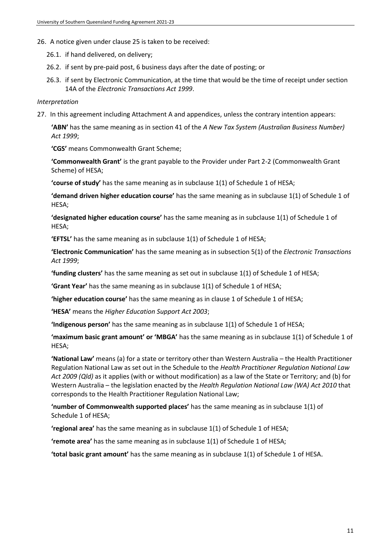- 26. A notice given under clause 25 is taken to be received:
	- 26.1. if hand delivered, on delivery;
	- 26.2. if sent by pre-paid post, 6 business days after the date of posting; or
	- 26.3. if sent by Electronic Communication, at the time that would be the time of receipt under section 14A of the *Electronic Transactions Act 1999*.

#### *Interpretation*

27. In this agreement including Attachment A and appendices, unless the contrary intention appears:

**'ABN'** has the same meaning as in section 41 of the *A New Tax System (Australian Business Number) Act 1999*;

**'CGS'** means Commonwealth Grant Scheme;

**'Commonwealth Grant'** is the grant payable to the Provider under Part 2-2 (Commonwealth Grant Scheme) of HESA;

**'course of study'** has the same meaning as in subclause 1(1) of Schedule 1 of HESA;

**'demand driven higher education course'** has the same meaning as in subclause 1(1) of Schedule 1 of HESA;

**'designated higher education course'** has the same meaning as in subclause 1(1) of Schedule 1 of HESA;

**'EFTSL'** has the same meaning as in subclause 1(1) of Schedule 1 of HESA;

**'Electronic Communication'** has the same meaning as in subsection 5(1) of the *Electronic Transactions Act 1999*;

**'funding clusters'** has the same meaning as set out in subclause 1(1) of Schedule 1 of HESA;

**'Grant Year'** has the same meaning as in subclause 1(1) of Schedule 1 of HESA;

**'higher education course'** has the same meaning as in clause 1 of Schedule 1 of HESA;

**'HESA'** means the *Higher Education Support Act 2003*;

**'Indigenous person'** has the same meaning as in subclause 1(1) of Schedule 1 of HESA;

**'maximum basic grant amount' or 'MBGA'** has the same meaning as in subclause 1(1) of Schedule 1 of HESA;

**'National Law'** means (a) for a state or territory other than Western Australia – the Health Practitioner Regulation National Law as set out in the Schedule to the *Health Practitioner Regulation National Law Act 2009 (Qld)* as it applies (with or without modification) as a law of the State or Territory; and (b) for Western Australia – the legislation enacted by the *Health Regulation National Law (WA) Act 2010* that corresponds to the Health Practitioner Regulation National Law;

**'number of Commonwealth supported places'** has the same meaning as in subclause 1(1) of Schedule 1 of HESA;

**'regional area'** has the same meaning as in subclause 1(1) of Schedule 1 of HESA;

**'remote area'** has the same meaning as in subclause 1(1) of Schedule 1 of HESA;

**'total basic grant amount'** has the same meaning as in subclause 1(1) of Schedule 1 of HESA.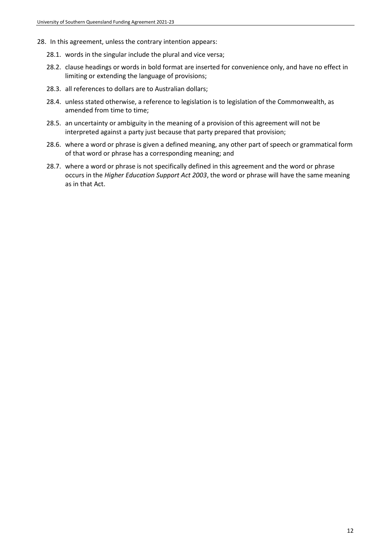- 28. In this agreement, unless the contrary intention appears:
	- 28.1. words in the singular include the plural and vice versa;
	- 28.2. clause headings or words in bold format are inserted for convenience only, and have no effect in limiting or extending the language of provisions;
	- 28.3. all references to dollars are to Australian dollars;
	- 28.4. unless stated otherwise, a reference to legislation is to legislation of the Commonwealth, as amended from time to time;
	- 28.5. an uncertainty or ambiguity in the meaning of a provision of this agreement will not be interpreted against a party just because that party prepared that provision;
	- 28.6. where a word or phrase is given a defined meaning, any other part of speech or grammatical form of that word or phrase has a corresponding meaning; and
	- 28.7. where a word or phrase is not specifically defined in this agreement and the word or phrase occurs in the *Higher Education Support Act 2003*, the word or phrase will have the same meaning as in that Act.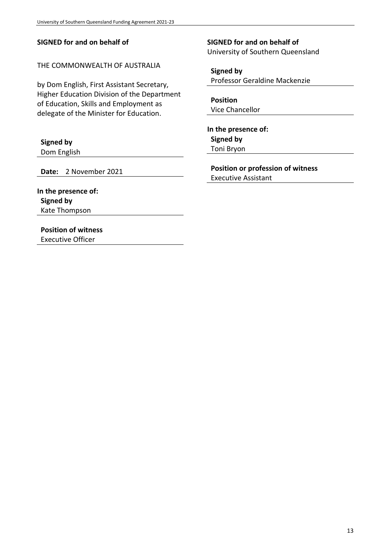#### **SIGNED for and on behalf of**

THE COMMONWEALTH OF AUSTRALIA

by Dom English, First Assistant Secretary, Higher Education Division of the Department of Education, Skills and Employment as delegate of the Minister for Education.

#### **Signed by**

Dom English

**Date:** 2 November 2021

**In the presence of: Signed by**  Kate Thompson

# **Position of witness**

Executive Officer

**SIGNED for and on behalf of** University of Southern Queensland

**Signed by**  Professor Geraldine Mackenzie

**Position**  Vice Chancellor

**In the presence of: Signed by**  Toni Bryon

**Position or profession of witness**  Executive Assistant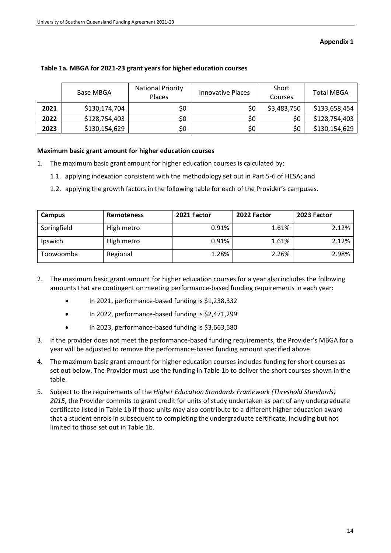#### **Appendix 1**

|      | Base MBGA     | <b>National Priority</b><br>Places | Innovative Places | Short<br>Courses | <b>Total MBGA</b> |
|------|---------------|------------------------------------|-------------------|------------------|-------------------|
| 2021 | \$130,174,704 | \$0                                | \$0               | \$3,483,750      | \$133,658,454     |
| 2022 | \$128,754,403 | \$0                                | \$0               | \$0              | \$128,754,403     |
| 2023 | \$130,154,629 | \$0                                | \$0               | \$0              | \$130,154,629     |

# **Table 1a. MBGA for 2021-23 grant years for higher education courses**

# **Maximum basic grant amount for higher education courses**

- 1. The maximum basic grant amount for higher education courses is calculated by:
	- 1.1. applying indexation consistent with the methodology set out in Part 5-6 of HESA; and
	- 1.2. applying the growth factors in the following table for each of the Provider's campuses.

| Campus         | <b>Remoteness</b> | 2021 Factor | 2022 Factor | 2023 Factor |
|----------------|-------------------|-------------|-------------|-------------|
| Springfield    | High metro        | 0.91%       | 1.61%       | 2.12%       |
| <b>Ipswich</b> | High metro        | 0.91%       | 1.61%       | 2.12%       |
| Toowoomba      | Regional          | 1.28%       | 2.26%       | 2.98%       |

- 2. The maximum basic grant amount for higher education courses for a year also includes the following amounts that are contingent on meeting performance-based funding requirements in each year:
	- In 2021, performance-based funding is \$1,238,332
	- In 2022, performance-based funding is \$2,471,299
	- In 2023, performance-based funding is \$3,663,580
- 3. If the provider does not meet the performance-based funding requirements, the Provider's MBGA for a year will be adjusted to remove the performance-based funding amount specified above.
- 4. The maximum basic grant amount for higher education courses includes funding for short courses as set out below. The Provider must use the funding in Table 1b to deliver the short courses shown in the table.
- 5. Subject to the requirements of the *Higher Education Standards Framework (Threshold Standards) 2015*, the Provider commits to grant credit for units of study undertaken as part of any undergraduate certificate listed in Table 1b if those units may also contribute to a different higher education award that a student enrols in subsequent to completing the undergraduate certificate, including but not limited to those set out in Table 1b.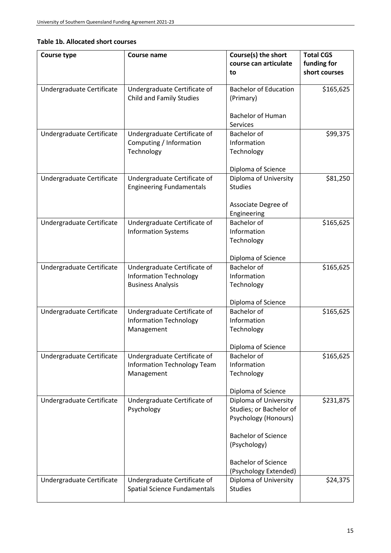|  |  | <b>Table 1b. Allocated short courses</b> |  |  |
|--|--|------------------------------------------|--|--|
|--|--|------------------------------------------|--|--|

| <b>Course type</b>        | <b>Course name</b>                                                  | Course(s) the short                         | <b>Total CGS</b> |
|---------------------------|---------------------------------------------------------------------|---------------------------------------------|------------------|
|                           |                                                                     | course can articulate                       | funding for      |
|                           |                                                                     | to                                          | short courses    |
| Undergraduate Certificate | Undergraduate Certificate of<br><b>Child and Family Studies</b>     | <b>Bachelor of Education</b><br>(Primary)   | \$165,625        |
|                           |                                                                     | <b>Bachelor of Human</b><br><b>Services</b> |                  |
| Undergraduate Certificate | Undergraduate Certificate of                                        | <b>Bachelor</b> of                          | \$99,375         |
|                           | Computing / Information                                             | Information                                 |                  |
|                           | Technology                                                          | Technology                                  |                  |
|                           |                                                                     | Diploma of Science                          |                  |
| Undergraduate Certificate | Undergraduate Certificate of                                        | Diploma of University                       | \$81,250         |
|                           | <b>Engineering Fundamentals</b>                                     | <b>Studies</b>                              |                  |
|                           |                                                                     | Associate Degree of                         |                  |
|                           |                                                                     | Engineering                                 |                  |
| Undergraduate Certificate | Undergraduate Certificate of                                        | Bachelor of                                 | \$165,625        |
|                           | <b>Information Systems</b>                                          | Information                                 |                  |
|                           |                                                                     | Technology                                  |                  |
|                           |                                                                     | Diploma of Science                          |                  |
| Undergraduate Certificate | Undergraduate Certificate of                                        | <b>Bachelor</b> of                          | \$165,625        |
|                           | <b>Information Technology</b>                                       | Information                                 |                  |
|                           | <b>Business Analysis</b>                                            | Technology                                  |                  |
|                           |                                                                     | Diploma of Science                          |                  |
| Undergraduate Certificate | Undergraduate Certificate of                                        | <b>Bachelor</b> of                          | \$165,625        |
|                           | <b>Information Technology</b>                                       | Information                                 |                  |
|                           | Management                                                          | Technology                                  |                  |
|                           |                                                                     | Diploma of Science                          |                  |
| Undergraduate Certificate | Undergraduate Certificate of                                        | <b>Bachelor</b> of                          | \$165,625        |
|                           | <b>Information Technology Team</b>                                  | Information                                 |                  |
|                           | Management                                                          | Technology                                  |                  |
|                           |                                                                     | Diploma of Science                          |                  |
| Undergraduate Certificate | Undergraduate Certificate of                                        | Diploma of University                       | \$231,875        |
|                           | Psychology                                                          | Studies; or Bachelor of                     |                  |
|                           |                                                                     | Psychology (Honours)                        |                  |
|                           |                                                                     | <b>Bachelor of Science</b>                  |                  |
|                           |                                                                     | (Psychology)                                |                  |
|                           |                                                                     |                                             |                  |
|                           |                                                                     | <b>Bachelor of Science</b>                  |                  |
|                           |                                                                     | (Psychology Extended)                       |                  |
| Undergraduate Certificate | Undergraduate Certificate of<br><b>Spatial Science Fundamentals</b> | Diploma of University<br><b>Studies</b>     | \$24,375         |
|                           |                                                                     |                                             |                  |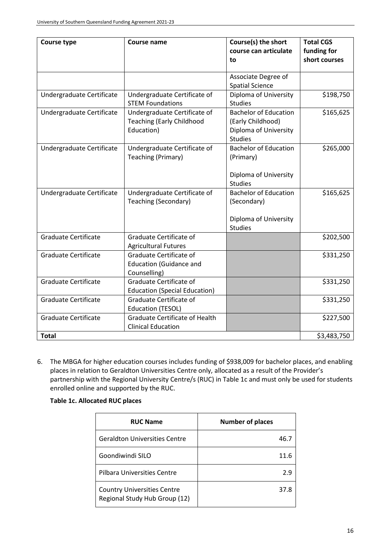| <b>Course type</b>          | <b>Course name</b>                                                             | Course(s) the short<br>course can articulate<br>to                                           | <b>Total CGS</b><br>funding for<br>short courses |
|-----------------------------|--------------------------------------------------------------------------------|----------------------------------------------------------------------------------------------|--------------------------------------------------|
|                             |                                                                                | Associate Degree of<br><b>Spatial Science</b>                                                |                                                  |
| Undergraduate Certificate   | Undergraduate Certificate of<br><b>STEM Foundations</b>                        | Diploma of University<br><b>Studies</b>                                                      | \$198,750                                        |
| Undergraduate Certificate   | Undergraduate Certificate of<br><b>Teaching (Early Childhood</b><br>Education) | <b>Bachelor of Education</b><br>(Early Childhood)<br>Diploma of University<br><b>Studies</b> | \$165,625                                        |
| Undergraduate Certificate   | Undergraduate Certificate of<br>Teaching (Primary)                             | <b>Bachelor of Education</b><br>(Primary)<br>Diploma of University<br><b>Studies</b>         | \$265,000                                        |
| Undergraduate Certificate   | Undergraduate Certificate of<br><b>Teaching (Secondary)</b>                    | <b>Bachelor of Education</b><br>(Secondary)<br>Diploma of University<br><b>Studies</b>       | \$165,625                                        |
| <b>Graduate Certificate</b> | Graduate Certificate of<br><b>Agricultural Futures</b>                         |                                                                                              | \$202,500                                        |
| <b>Graduate Certificate</b> | Graduate Certificate of<br><b>Education (Guidance and</b><br>Counselling)      |                                                                                              | \$331,250                                        |
| <b>Graduate Certificate</b> | Graduate Certificate of<br><b>Education (Special Education)</b>                |                                                                                              | \$331,250                                        |
| <b>Graduate Certificate</b> | Graduate Certificate of<br><b>Education (TESOL)</b>                            |                                                                                              | \$331,250                                        |
| <b>Graduate Certificate</b> | <b>Graduate Certificate of Health</b><br><b>Clinical Education</b>             |                                                                                              | \$227,500                                        |
| <b>Total</b>                |                                                                                |                                                                                              | \$3,483,750                                      |

6. The MBGA for higher education courses includes funding of \$938,009 for bachelor places, and enabling places in relation to Geraldton Universities Centre only, allocated as a result of the Provider's partnership with the Regional University Centre/s (RUC) in Table 1c and must only be used for students enrolled online and supported by the RUC.

# **Table 1c. Allocated RUC places**

| <b>RUC Name</b>                                                     | <b>Number of places</b> |
|---------------------------------------------------------------------|-------------------------|
| <b>Geraldton Universities Centre</b>                                | 46.                     |
| Goondiwindi SILO                                                    | 11.6                    |
| Pilbara Universities Centre                                         | 2.9                     |
| <b>Country Universities Centre</b><br>Regional Study Hub Group (12) | 37.8                    |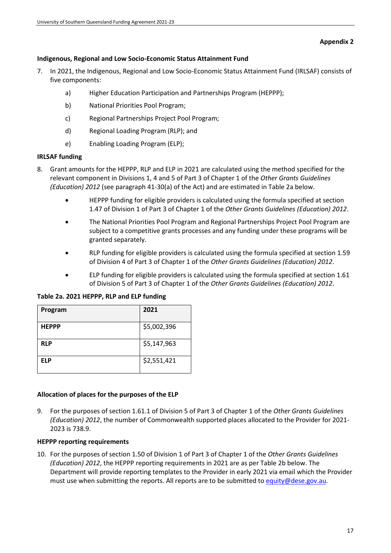#### **Appendix 2**

# **Indigenous, Regional and Low Socio-Economic Status Attainment Fund**

- 7. In 2021, the Indigenous, Regional and Low Socio-Economic Status Attainment Fund (IRLSAF) consists of five components:
	- a) Higher Education Participation and Partnerships Program (HEPPP);
	- b) National Priorities Pool Program;
	- c) Regional Partnerships Project Pool Program;
	- d) Regional Loading Program (RLP); and
	- e) Enabling Loading Program (ELP);

# **IRLSAF funding**

- 8. Grant amounts for the HEPPP, RLP and ELP in 2021 are calculated using the method specified for the relevant component in Divisions 1, 4 and 5 of Part 3 of Chapter 1 of the *Other Grants Guidelines (Education) 2012* (see paragraph 41-30(a) of the Act) and are estimated in Table 2a below.
	- HEPPP funding for eligible providers is calculated using the formula specified at section 1.47 of Division 1 of Part 3 of Chapter 1 of the *Other Grants Guidelines (Education) 2012*.
	- The National Priorities Pool Program and Regional Partnerships Project Pool Program are subject to a competitive grants processes and any funding under these programs will be granted separately.
	- RLP funding for eligible providers is calculated using the formula specified at section 1.59 of Division 4 of Part 3 of Chapter 1 of the *Other Grants Guidelines (Education) 2012*.
	- ELP funding for eligible providers is calculated using the formula specified at section 1.61 of Division 5 of Part 3 of Chapter 1 of the *Other Grants Guidelines (Education) 2012*.

**Table 2a. 2021 HEPPP, RLP and ELP funding**

| Program      | 2021        |
|--------------|-------------|
| <b>HEPPP</b> | \$5,002,396 |
| <b>RLP</b>   | \$5,147,963 |
| <b>ELP</b>   | \$2,551,421 |

# **Allocation of places for the purposes of the ELP**

9. For the purposes of section 1.61.1 of Division 5 of Part 3 of Chapter 1 of the *Other Grants Guidelines (Education) 2012*, the number of Commonwealth supported places allocated to the Provider for 2021- 2023 is 738.9.

# **HEPPP reporting requirements**

10. For the purposes of section 1.50 of Division 1 of Part 3 of Chapter 1 of the *Other Grants Guidelines (Education) 2012*, the HEPPP reporting requirements in 2021 are as per Table 2b below. The Department will provide reporting templates to the Provider in early 2021 via email which the Provider must use when submitting the reports. All reports are to be submitted to [equity@dese.gov.au.](mailto:equity@dese.gov.au)